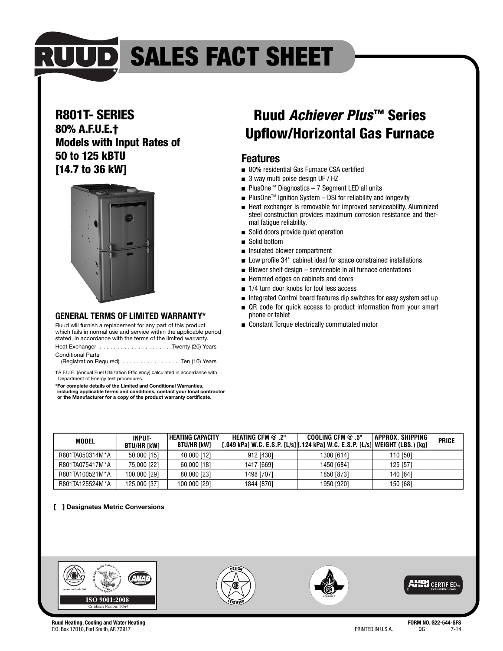

## **RUUD SALES FACT SHEET**

#### **R801T- SERIES**

**80% A.F.U.E.† Models with Input Rates of 50 to 125 kBTU [14.7 to 36 kW]**



#### **GENERAL TERMS OF LIMITED WARRANTY\***

Ruud will furnish a replacement for any part of this product which fails in normal use and service within the applicable period stated, in accordance with the terms of the limited warranty.

Heat Exchanger . . . . . . . . . . . . . . . . . . . . .Twenty (20) Years Conditional Parts

| (Registration Required) Ten (10) Years |  |  |
|----------------------------------------|--|--|
|----------------------------------------|--|--|

✝A.F.U.E. (Annual Fuel Utilization Efficiency) calculated in accordance with Department of Energy test procedures.

**\*For complete details of the Limited and Conditional Warranties, including applicable terms and conditions, contact your local contractor or the Manufacturer for a copy of the product warranty certificate.**

## **Ruud Achiever Plus™ Series Upflow/Horizontal Gas Furnace**

#### **Features**

- 80% residential Gas Furnace CSA certified
- 3 way multi poise design UF / HZ
- PlusOne™ Diagnostics 7 Segment LED all units
- PlusOne<sup>™</sup> Ignition System DSI for reliability and longevity
- Heat exchanger is removable for improved serviceability. Aluminized steel construction provides maximum corrosion resistance and thermal fatigue reliability.
- Solid doors provide quiet operation
- Solid bottom
- Insulated blower compartment
- Low profile 34" cabinet ideal for space constrained installations
- Blower shelf design serviceable in all furnace orientations
- Hemmed edges on cabinets and doors
- 1/4 turn door knobs for tool less access
- Integrated Control board features dip switches for easy system set up
- QR code for quick access to product information from your smart phone or tablet
- Constant Torque electrically commutated motor

| MODEL           | <b>INPUT-</b><br><b>BTU/HR [kW]</b> | HEATING CAPACITY  <br><b>BTU/HR [kW]</b> | <b>HEATING CFM @.2"</b><br>[[.049 kPa] W.C. E.S.P. [L/s] [.124 kPa] W.C. E.S.P. [L/s]  WEIGHT (LBS.) [kg] | COOLING CFM $@.5"$ | APPROX. SHIPPING | <b>PRICE</b> |
|-----------------|-------------------------------------|------------------------------------------|-----------------------------------------------------------------------------------------------------------|--------------------|------------------|--------------|
| R801TA050314M*A | 50,000 [15]                         | 40,000 [12]                              | 912 [430]                                                                                                 | 1300 [614]         | 110 [50]         |              |
| R801TA075417M*A | 75,000 [22]                         | 60,000 [18]                              | 1417 [669]                                                                                                | 1450 [684]         | 125 [57]         |              |
| R801TA100521M*A | 100.000 [29]                        | 80,000 [23]                              | 1498 [707]                                                                                                | 1850 [873]         | 140 [64]         |              |
| R801TA125524M*A | 125,000 [37]                        | 100,000 [29]                             | 1844 [870]                                                                                                | 1950 [920]         | 150 [68]         |              |

#### **[ ] Designates Metric Conversions**